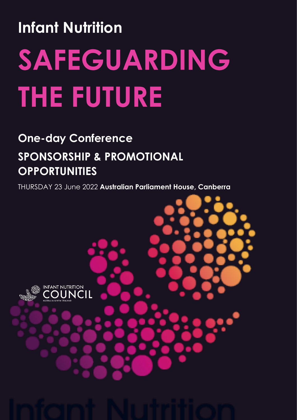# **Infant Nutrition SAFEGUARDING THE FUTURE**

### **One-day Conference SPONSORSHIP & PROMOTIONAL OPPORTUNITIES**

THURSDAY 23 June 2022 **Australian Parliament House, Canberra**

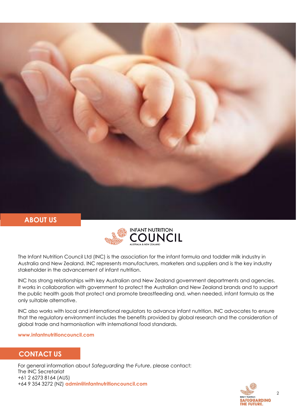

#### **ABOUT US**



The Infant Nutrition Council Ltd (INC) is the association for the infant formula and toddler milk industry in Australia and New Zealand. INC represents manufacturers, marketers and suppliers and is the key industry stakeholder in the advancement of infant nutrition.

INC has strong relationships with key Australian and New Zealand government departments and agencies. It works in collaboration with government to protect the Australian and New Zealand brands and to support the public health goals that protect and promote breastfeeding and, when needed, infant formula as the only suitable alternative.

INC also works with local and international regulators to advance infant nutrition. INC advocates to ensure that the regulatory environment includes the benefits provided by global research and the consideration of global trade and harmonisation with international food standards.

**www.infantnutritioncouncil.com**

#### **CONTACT US**

For general information about *Safeguarding the Future*, please contact: The INC Secretariat +61 2 6273 8164 (AUS) +64 9 354 3272 (NZ) **admin@infantnutritioncouncil.com**

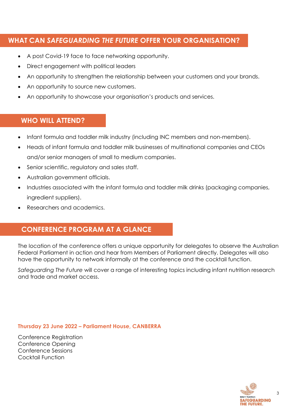#### **WHAT CAN** *SAFEGUARDING THE FUTURE* **OFFER YOUR ORGANISATION?**

- A post Covid-19 face to face networking opportunity.
- Direct engagement with political leaders
- An opportunity to strengthen the relationship between your customers and your brands.
- An opportunity to source new customers.
- An opportunity to showcase your organisation's products and services.

#### **WHO WILL ATTEND?**

- Infant formula and toddler milk industry (including INC members and non-members).
- Heads of infant formula and toddler milk businesses of multinational companies and CEOs and/or senior managers of small to medium companies.
- Senior scientific, regulatory and sales staff.
- Australian government officials.
- Industries associated with the infant formula and toddler milk drinks (packaging companies, ingredient suppliers).
- Researchers and academics.

#### **CONFERENCE PROGRAM AT A GLANCE**

The location of the conference offers a unique opportunity for delegates to observe the Australian Federal Parliament in action and hear from Members of Parliament directly. Delegates will also have the opportunity to network informally at the conference and the cocktail function.

*Safeguarding The Future* will cover a range of interesting topics including infant nutrition research and trade and market access.

**Thursday 23 June 2022 – Parliament House, CANBERRA**

Conference Registration Conference Opening Conference Sessions Cocktail Function

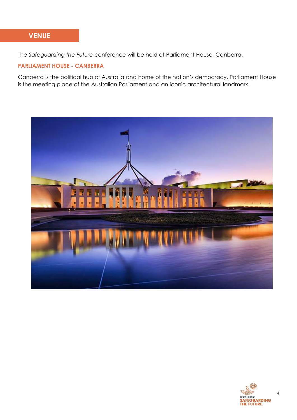#### **VENUE**

The *Safeguarding the Future* conference will be held at Parliament House, Canberra.

#### **PARLIAMENT HOUSE - CANBERRA**

Canberra is the political hub of Australia and home of the nation's democracy. Parliament House is the meeting place of the Australian Parliament and an iconic architectural landmark.



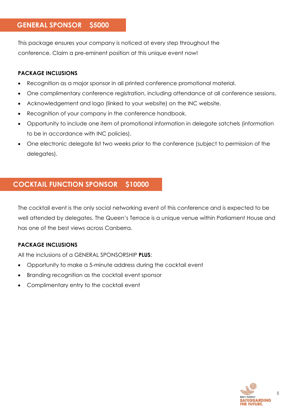#### **GENERAL SPONSOR \$5000**

This package ensures your company is noticed at every step throughout the conference. Claim a pre-eminent position at this unique event now!

#### **PACKAGE INCLUSIONS**

- Recognition as a major sponsor in all printed conference promotional material.
- One complimentary conference registration, including attendance at all conference sessions.
- Acknowledgement and logo (linked to your website) on the INC website.
- Recognition of your company in the conference handbook.
- Opportunity to include one item of promotional information in delegate satchels (information to be in accordance with INC policies).
- One electronic delegate list two weeks prior to the conference (subject to permission of the delegates).

#### **COCKTAIL FUNCTION SPONSOR \$10000**

The cocktail event is the only social networking event of this conference and is expected to be well attended by delegates. The Queen's Terrace is a unique venue within Parliament House and has one of the best views across Canberra.

#### **PACKAGE INCLUSIONS**

All the inclusions of a GENERAL SPONSORSHIP **PLUS**:

- Opportunity to make a 5-minute address during the cocktail event
- Branding recognition as the cocktail event sponsor
- Complimentary entry to the cocktail event

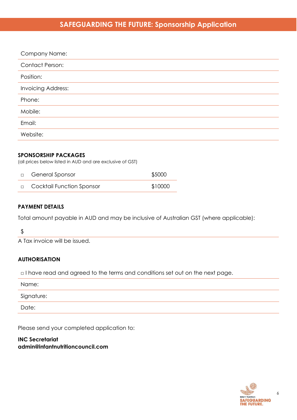#### **SAFEGUARDING THE FUTURE: Sponsorship Application**

| Company Name:          |
|------------------------|
| <b>Contact Person:</b> |
| Position:              |
| Invoicing Address:     |
| Phone:                 |
| Mobile:                |
| Email:                 |
| Website:               |
|                        |

#### **SPONSORSHIP PACKAGES**

(all prices below listed in AUD and are exclusive of GST)

| □ General Sponsor                  | \$5000  |
|------------------------------------|---------|
| <b>D</b> Cocktail Function Sponsor | \$10000 |

#### **PAYMENT DETAILS**

Total amount payable in AUD and may be inclusive of Australian GST (where applicable):

#### \$

A Tax invoice will be issued.

#### **AUTHORISATION**

□ I have read and agreed to the terms and conditions set out on the next page.

| Name:      |  |
|------------|--|
| Signature: |  |
| Date:      |  |

Please send your completed application to:

**INC Secretariat admin@infantnutritioncouncil.com**

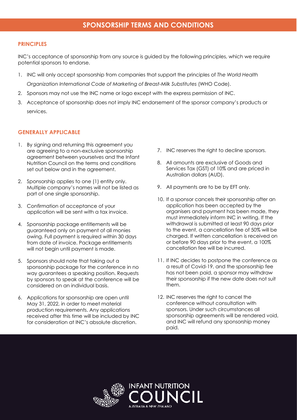#### **PRINCIPLES**

INC's acceptance of sponsorship from any source is guided by the following principles, which we require potential sponsors to endorse.

1. INC will only accept sponsorship from companies that support the principles of *The World Health* 

*Organization International Code of Marketing of Breast-Milk Substitutes (WHO Code).* 

- 2. Sponsors may not use the INC name or logo except with the express permission of INC.
- 3. Acceptance of sponsorship does not imply INC endorsement of the sponsor company's products or services.

#### **GENERALLY APPLICABLE**

- 1. By signing and returning this agreement you are agreeing to a non-exclusive sponsorship agreement between yourselves and the Infant Nutrition Council on the terms and conditions set out below and in the agreement.
- 2. Sponsorship applies to one (1) entity only. Multiple company's names will not be listed as part of one single sponsorship.
- 3. Confirmation of acceptance of your application will be sent with a tax invoice.
- 4. Sponsorship package entitlements will be guaranteed only on payment of all monies owing. Full payment is required within 30 days from date of invoice. Package entitlements will not begin until payment is made.
- 5. Sponsors should note that taking out a sponsorship package for the conference in no way guarantees a speaking position. Requests by sponsors to speak at the conference will be considered on an individual basis.
- 6. Applications for sponsorship are open until May 31, 2022, in order to meet material production requirements. Any applications received after this time will be included by INC for consideration at INC's absolute discretion.
- 7. INC reserves the right to decline sponsors.
- 8. All amounts are exclusive of Goods and Services Tax (GST) of 10% and are priced in Australian dollars (AUD).
- 9. All payments are to be by EFT only.
- 10. If a sponsor cancels their sponsorship after an application has been accepted by the organisers and payment has been made, they must immediately inform INC in writing. If the withdrawal is submitted at least 90 days prior to the event, a cancellation fee of 50% will be charged. If written cancellation is received on or before 90 days prior to the event, a 100% cancellation fee will be incurred.
- 11. If INC decides to postpone the conference as a result of Covid-19, and the sponsorship fee has not been paid, a sponsor may withdraw their sponsorship if the new date does not suit them.
- 12. INC reserves the right to cancel the conference without consultation with sponsors. Under such circumstances all sponsorship agreements will be rendered void, and INC will refund any sponsorship money paid.